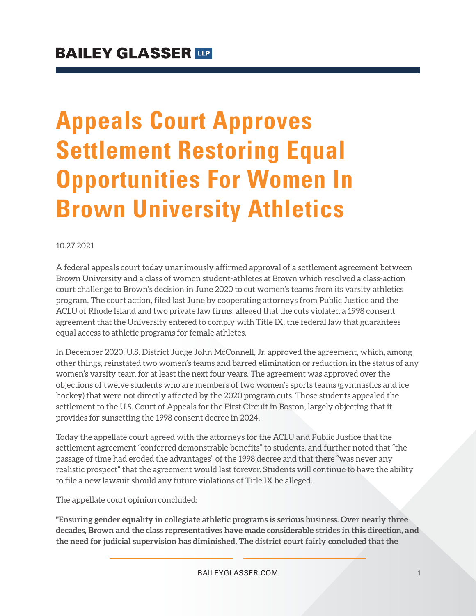# **Appeals Court Approves Settlement Restoring Equal Opportunities For Women In Brown University Athletics**

#### 10.27.2021

A federal appeals court today unanimously affirmed approval of a settlement agreement between Brown University and a class of women student-athletes at Brown which resolved a class-action court challenge to Brown's decision in June 2020 to cut women's teams from its varsity athletics program. The court action, filed last June by cooperating attorneys from Public Justice and the ACLU of Rhode Island and two private law firms, alleged that the cuts violated a 1998 consent agreement that the University entered to comply with Title IX, the federal law that guarantees equal access to athletic programs for female athletes.

In December 2020, U.S. District Judge John McConnell, Jr. approved the agreement, which, among other things, reinstated two women's teams and barred elimination or reduction in the status of any women's varsity team for at least the next four years. The agreement was approved over the objections of twelve students who are members of two women's sports teams (gymnastics and ice hockey) that were not directly affected by the 2020 program cuts. Those students appealed the settlement to the U.S. Court of Appeals for the First Circuit in Boston, largely objecting that it provides for sunsetting the 1998 consent decree in 2024.

Today the appellate court agreed with the attorneys for the ACLU and Public Justice that the settlement agreement "conferred demonstrable benefits" to students, and further noted that "the passage of time had eroded the advantages" of the 1998 decree and that there "was never any realistic prospect" that the agreement would last forever. Students will continue to have the ability to file a new lawsuit should any future violations of Title IX be alleged.

The appellate court opinion concluded:

**"Ensuring gender equality in collegiate athletic programs is serious business. Over nearly three decades, Brown and the class representatives have made considerable strides in this direction, and the need for judicial supervision has diminished. The district court fairly concluded that the**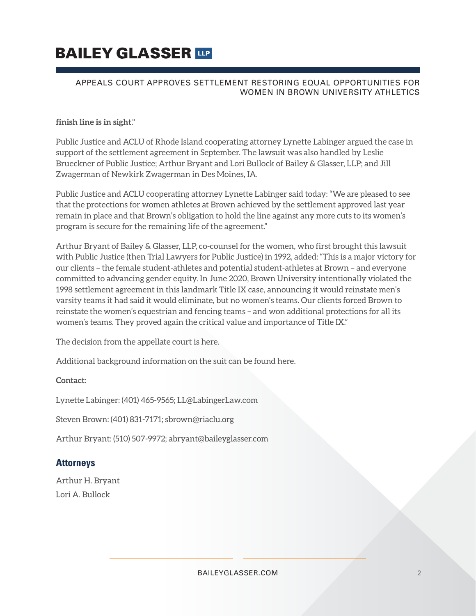## **BAILEY GLASSER TIP**

#### APPEALS COURT APPROVES SETTLEMENT RESTORING EQUAL OPPORTUNITIES FOR WOMEN IN BROWN UNIVERSITY ATHLETICS

#### **finish line is in sight**."

Public Justice and ACLU of Rhode Island cooperating attorney Lynette Labinger argued the case in support of the settlement agreement in September. The lawsuit was also handled by Leslie Brueckner of Public Justice; Arthur Bryant and Lori Bullock of Bailey & Glasser, LLP; and Jill Zwagerman of Newkirk Zwagerman in Des Moines, IA.

Public Justice and ACLU cooperating attorney Lynette Labinger said today: "We are pleased to see that the protections for women athletes at Brown achieved by the settlement approved last year remain in place and that Brown's obligation to hold the line against any more cuts to its women's program is secure for the remaining life of the agreement."

Arthur Bryant of Bailey & Glasser, LLP, co-counsel for the women, who first brought this lawsuit with Public Justice (then Trial Lawyers for Public Justice) in 1992, added: "This is a major victory for our clients – the female student-athletes and potential student-athletes at Brown – and everyone committed to advancing gender equity. In June 2020, Brown University intentionally violated the 1998 settlement agreement in this landmark Title IX case, announcing it would reinstate men's varsity teams it had said it would eliminate, but no women's teams. Our clients forced Brown to reinstate the women's equestrian and fencing teams – and won additional protections for all its women's teams. They proved again the critical value and importance of Title IX."

The decision from the appellate court is here.

Additional background information on the suit can be found here.

**Contact:**

Lynette Labinger: (401) 465-9565; LL@LabingerLaw.com

Steven Brown: (401) 831-7171; sbrown@riaclu.org

Arthur Bryant: (510) 507-9972; abryant@baileyglasser.com

#### **Attorneys**

Arthur H. Bryant Lori A. Bullock